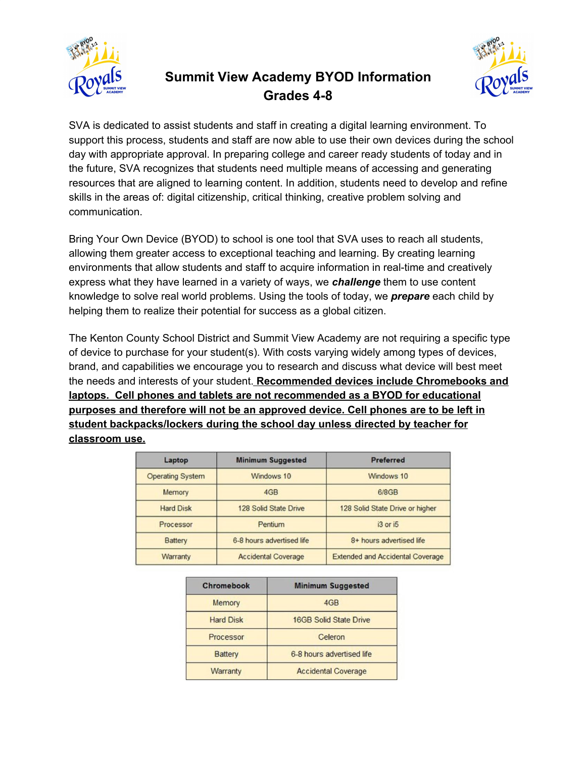

## **Summit View Academy BYOD Information Grades 4-8**



SVA is dedicated to assist students and staff in creating a digital learning environment. To support this process, students and staff are now able to use their own devices during the school day with appropriate approval. In preparing college and career ready students of today and in the future, SVA recognizes that students need multiple means of accessing and generating resources that are aligned to learning content. In addition, students need to develop and refine skills in the areas of: digital citizenship, critical thinking, creative problem solving and communication.

Bring Your Own Device (BYOD) to school is one tool that SVA uses to reach all students, allowing them greater access to exceptional teaching and learning. By creating learning environments that allow students and staff to acquire information in real-time and creatively express what they have learned in a variety of ways, we *challenge* them to use content knowledge to solve real world problems. Using the tools of today, we *prepare* each child by helping them to realize their potential for success as a global citizen.

The Kenton County School District and Summit View Academy are not requiring a specific type of device to purchase for your student(s). With costs varying widely among types of devices, brand, and capabilities we encourage you to research and discuss what device will best meet the needs and interests of your student. **Recommended devices include Chromebooks and laptops. Cell phones and tablets are not recommended as a BYOD for educational purposes and therefore will not be an approved device. Cell phones are to be left in student backpacks/lockers during the school day unless directed by teacher for classroom use.**

| Laptop                  | <b>Minimum Suggested</b>   | <b>Preferred</b>                        |
|-------------------------|----------------------------|-----------------------------------------|
| <b>Operating System</b> | Windows 10                 | Windows 10                              |
| Memory                  | 4GB                        | 6/8GB                                   |
| <b>Hard Disk</b>        | 128 Solid State Drive      | 128 Solid State Drive or higher         |
| Processor               | Pentium                    | i3 or i5                                |
| <b>Battery</b>          | 6-8 hours advertised life  | 8+ hours advertised life                |
| Warranty                | <b>Accidental Coverage</b> | <b>Extended and Accidental Coverage</b> |

| Chromebook       | <b>Minimum Suggested</b>      |  |
|------------------|-------------------------------|--|
| Memory           | 4GB                           |  |
| <b>Hard Disk</b> | <b>16GB Solid State Drive</b> |  |
| Processor        | Celeron                       |  |
| <b>Battery</b>   | 6-8 hours advertised life     |  |
| Warranty         | <b>Accidental Coverage</b>    |  |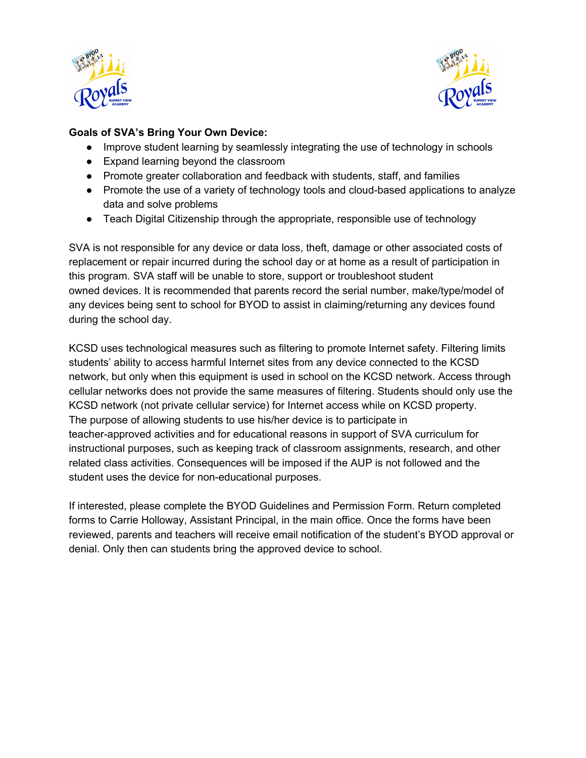



### **Goals of SVA's Bring Your Own Device:**

- Improve student learning by seamlessly integrating the use of technology in schools
- Expand learning beyond the classroom
- Promote greater collaboration and feedback with students, staff, and families
- Promote the use of a variety of technology tools and cloud-based applications to analyze data and solve problems
- Teach Digital Citizenship through the appropriate, responsible use of technology

SVA is not responsible for any device or data loss, theft, damage or other associated costs of replacement or repair incurred during the school day or at home as a result of participation in this program. SVA staff will be unable to store, support or troubleshoot student owned devices. It is recommended that parents record the serial number, make/type/model of any devices being sent to school for BYOD to assist in claiming/returning any devices found during the school day.

KCSD uses technological measures such as filtering to promote Internet safety. Filtering limits students' ability to access harmful Internet sites from any device connected to the KCSD network, but only when this equipment is used in school on the KCSD network. Access through cellular networks does not provide the same measures of filtering. Students should only use the KCSD network (not private cellular service) for Internet access while on KCSD property. The purpose of allowing students to use his/her device is to participate in teacher-approved activities and for educational reasons in support of SVA curriculum for instructional purposes, such as keeping track of classroom assignments, research, and other related class activities. Consequences will be imposed if the AUP is not followed and the student uses the device for non-educational purposes.

If interested, please complete the BYOD Guidelines and Permission Form. Return completed forms to Carrie Holloway, Assistant Principal, in the main office. Once the forms have been reviewed, parents and teachers will receive email notification of the student's BYOD approval or denial. Only then can students bring the approved device to school.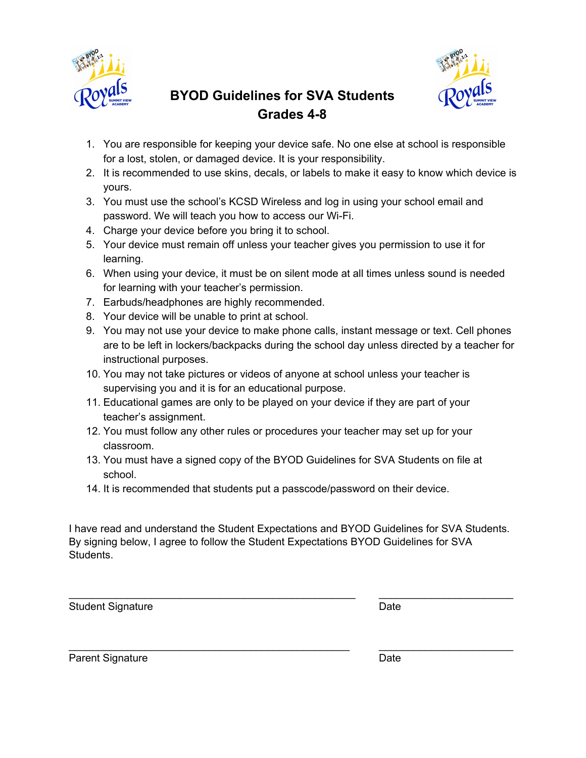



# **BYOD Guidelines for SVA Students Grades 4-8**

- 1. You are responsible for keeping your device safe. No one else at school is responsible for a lost, stolen, or damaged device. It is your responsibility.
- 2. It is recommended to use skins, decals, or labels to make it easy to know which device is yours.
- 3. You must use the school's KCSD Wireless and log in using your school email and password. We will teach you how to access our Wi-Fi.
- 4. Charge your device before you bring it to school.
- 5. Your device must remain off unless your teacher gives you permission to use it for learning.
- 6. When using your device, it must be on silent mode at all times unless sound is needed for learning with your teacher's permission.
- 7. Earbuds/headphones are highly recommended.
- 8. Your device will be unable to print at school.
- 9. You may not use your device to make phone calls, instant message or text. Cell phones are to be left in lockers/backpacks during the school day unless directed by a teacher for instructional purposes.
- 10. You may not take pictures or videos of anyone at school unless your teacher is supervising you and it is for an educational purpose.
- 11. Educational games are only to be played on your device if they are part of your teacher's assignment.
- 12. You must follow any other rules or procedures your teacher may set up for your classroom.
- 13. You must have a signed copy of the BYOD Guidelines for SVA Students on file at school.
- 14. It is recommended that students put a passcode/password on their device.

I have read and understand the Student Expectations and BYOD Guidelines for SVA Students. By signing below, I agree to follow the Student Expectations BYOD Guidelines for SVA Students.

\_\_\_\_\_\_\_\_\_\_\_\_\_\_\_\_\_\_\_\_\_\_\_\_\_\_\_\_\_\_\_\_\_\_\_\_\_\_\_\_\_\_\_\_\_\_\_\_\_ \_\_\_\_\_\_\_\_\_\_\_\_\_\_\_\_\_\_\_\_\_\_\_

\_\_\_\_\_\_\_\_\_\_\_\_\_\_\_\_\_\_\_\_\_\_\_\_\_\_\_\_\_\_\_\_\_\_\_\_\_\_\_\_\_\_\_\_\_\_\_\_ \_\_\_\_\_\_\_\_\_\_\_\_\_\_\_\_\_\_\_\_\_\_\_

Student Signature Date Date

Parent Signature Date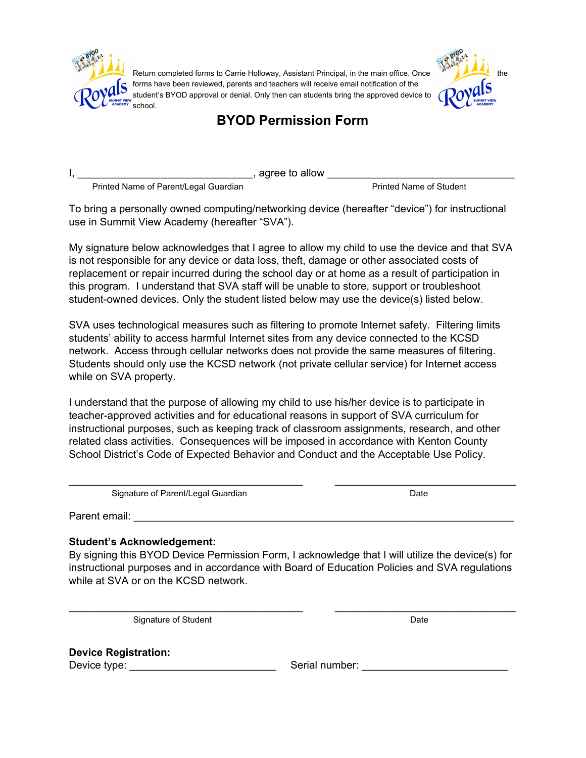

Return completed forms to Carrie Holloway, Assistant Principal, in the main office. Once forms have been reviewed, parents and teachers will receive email notification of the student's BYOD approval or denial. Only then can students bring the approved device to school.



### **BYOD Permission Form**

I, \_\_\_\_\_\_\_\_\_\_\_\_\_\_\_\_\_\_\_\_\_\_\_\_\_\_\_\_\_\_, agree to allow \_\_\_\_\_\_\_\_\_\_\_\_\_\_\_\_\_\_\_\_\_\_\_\_\_\_\_\_\_\_\_\_

Printed Name of Parent/Legal Guardian **Printed Name of Student** Printed Name of Student

To bring a personally owned computing/networking device (hereafter "device") for instructional use in Summit View Academy (hereafter "SVA").

My signature below acknowledges that I agree to allow my child to use the device and that SVA is not responsible for any device or data loss, theft, damage or other associated costs of replacement or repair incurred during the school day or at home as a result of participation in this program. I understand that SVA staff will be unable to store, support or troubleshoot student-owned devices. Only the student listed below may use the device(s) listed below.

SVA uses technological measures such as filtering to promote Internet safety. Filtering limits students' ability to access harmful Internet sites from any device connected to the KCSD network. Access through cellular networks does not provide the same measures of filtering. Students should only use the KCSD network (not private cellular service) for Internet access while on SVA property.

I understand that the purpose of allowing my child to use his/her device is to participate in teacher-approved activities and for educational reasons in support of SVA curriculum for instructional purposes, such as keeping track of classroom assignments, research, and other related class activities. Consequences will be imposed in accordance with Kenton County School District's Code of Expected Behavior and Conduct and the Acceptable Use Policy.

\_\_\_\_\_\_\_\_\_\_\_\_\_\_\_\_\_\_\_\_\_\_\_\_\_\_\_\_\_\_\_\_\_\_\_\_\_\_\_\_ \_\_\_\_\_\_\_\_\_\_\_\_\_\_\_\_\_\_\_\_\_\_\_\_\_\_\_\_\_\_\_

Signature of Parent/Legal Guardian Date **Date** Date Date

Parent email: **Example 2018** 

#### **Student's Acknowledgement:**

By signing this BYOD Device Permission Form, I acknowledge that I will utilize the device(s) for instructional purposes and in accordance with Board of Education Policies and SVA regulations while at SVA or on the KCSD network.

\_\_\_\_\_\_\_\_\_\_\_\_\_\_\_\_\_\_\_\_\_\_\_\_\_\_\_\_\_\_\_\_\_\_\_\_\_\_\_\_ \_\_\_\_\_\_\_\_\_\_\_\_\_\_\_\_\_\_\_\_\_\_\_\_\_\_\_\_\_\_\_

Signature of Student Date Date Date Date Date

**Device Registration:**

Device type: \_\_\_\_\_\_\_\_\_\_\_\_\_\_\_\_\_\_\_\_\_\_\_\_\_ Serial number: \_\_\_\_\_\_\_\_\_\_\_\_\_\_\_\_\_\_\_\_\_\_\_\_\_